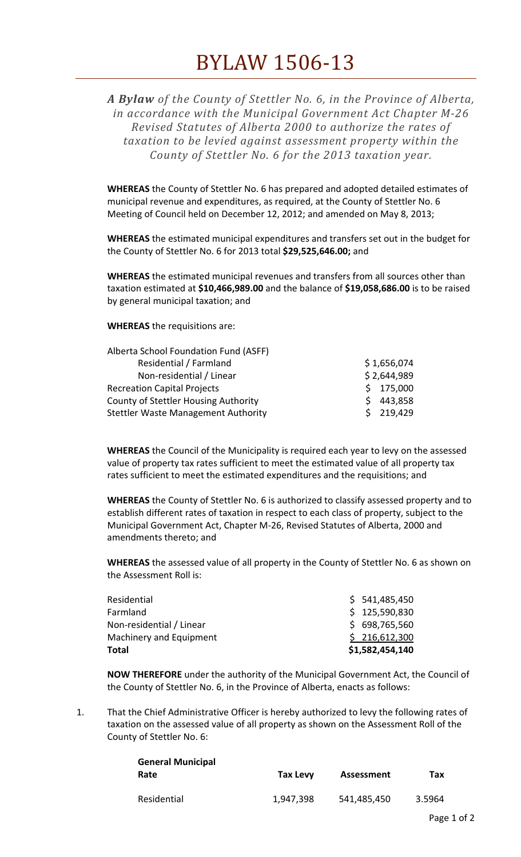*A Bylaw of the County of Stettler No. 6, in the Province of Alberta, in accordance with the Municipal Government Act Chapter M‐26 Revised Statutes of Alberta 2000 to authorize the rates of taxation to be levied against assessment property within the County of Stettler No. 6 for the 2013 taxation year.*

**WHEREAS** the County of Stettler No. 6 has prepared and adopted detailed estimates of municipal revenue and expenditures, as required, at the County of Stettler No. 6 Meeting of Council held on December 12, 2012; and amended on May 8, 2013;

**WHEREAS** the estimated municipal expenditures and transfers set out in the budget for the County of Stettler No. 6 for 2013 total **\$29,525,646.00;** and

**WHEREAS** the estimated municipal revenues and transfers from all sources other than taxation estimated at **\$10,466,989.00** and the balance of **\$19,058,686.00** is to be raised by general municipal taxation; and

**WHEREAS** the requisitions are:

| Alberta School Foundation Fund (ASFF)       |             |
|---------------------------------------------|-------------|
| Residential / Farmland                      | \$1,656,074 |
| Non-residential / Linear                    | \$2,644,989 |
| <b>Recreation Capital Projects</b>          | \$175,000   |
| <b>County of Stettler Housing Authority</b> | 443,858     |
| <b>Stettler Waste Management Authority</b>  | \$219,429   |

**WHEREAS** the Council of the Municipality is required each year to levy on the assessed value of property tax rates sufficient to meet the estimated value of all property tax rates sufficient to meet the estimated expenditures and the requisitions; and

**WHEREAS** the County of Stettler No. 6 is authorized to classify assessed property and to establish different rates of taxation in respect to each class of property, subject to the Municipal Government Act, Chapter M‐26, Revised Statutes of Alberta, 2000 and amendments thereto; and

**WHEREAS** the assessed value of all property in the County of Stettler No. 6 as shown on the Assessment Roll is:

| \$1,582,454,140 |
|-----------------|
| \$216,612,300   |
| \$698,765,560   |
| \$125,590,830   |
| \$541,485,450   |
|                 |

**NOW THEREFORE** under the authority of the Municipal Government Act, the Council of the County of Stettler No. 6, in the Province of Alberta, enacts as follows:

1. That the Chief Administrative Officer is hereby authorized to levy the following rates of taxation on the assessed value of all property as shown on the Assessment Roll of the County of Stettler No. 6:

| <b>General Municipal</b> |           |             |        |
|--------------------------|-----------|-------------|--------|
| Rate                     | Tax Levy  | Assessment  | Тах    |
|                          |           |             |        |
| Residential              | 1,947,398 | 541,485,450 | 3.5964 |